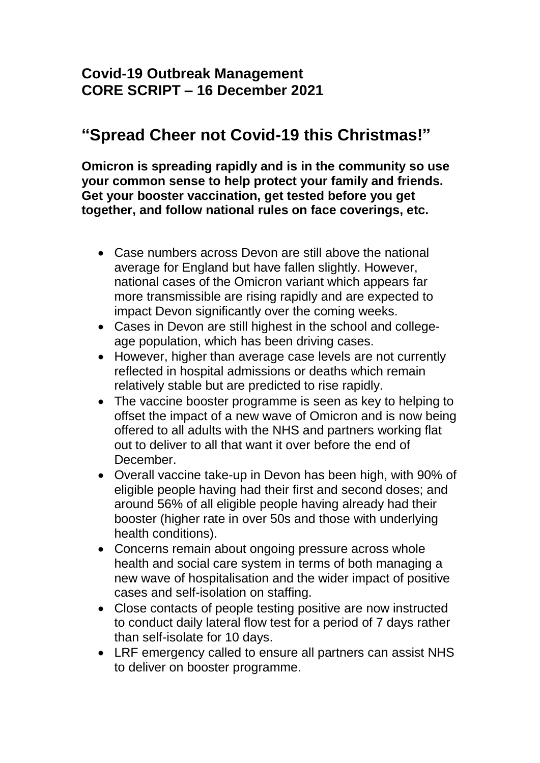## **Covid-19 Outbreak Management CORE SCRIPT – 16 December 2021**

# **"Spread Cheer not Covid-19 this Christmas!"**

**Omicron is spreading rapidly and is in the community so use your common sense to help protect your family and friends. Get your booster vaccination, get tested before you get together, and follow national rules on face coverings, etc.** 

- Case numbers across Devon are still above the national average for England but have fallen slightly. However, national cases of the Omicron variant which appears far more transmissible are rising rapidly and are expected to impact Devon significantly over the coming weeks.
- Cases in Devon are still highest in the school and collegeage population, which has been driving cases.
- However, higher than average case levels are not currently reflected in hospital admissions or deaths which remain relatively stable but are predicted to rise rapidly.
- The vaccine booster programme is seen as key to helping to offset the impact of a new wave of Omicron and is now being offered to all adults with the NHS and partners working flat out to deliver to all that want it over before the end of December.
- Overall vaccine take-up in Devon has been high, with 90% of eligible people having had their first and second doses; and around 56% of all eligible people having already had their booster (higher rate in over 50s and those with underlying health conditions).
- Concerns remain about ongoing pressure across whole health and social care system in terms of both managing a new wave of hospitalisation and the wider impact of positive cases and self-isolation on staffing.
- Close contacts of people testing positive are now instructed to conduct daily lateral flow test for a period of 7 days rather than self-isolate for 10 days.
- LRF emergency called to ensure all partners can assist NHS to deliver on booster programme.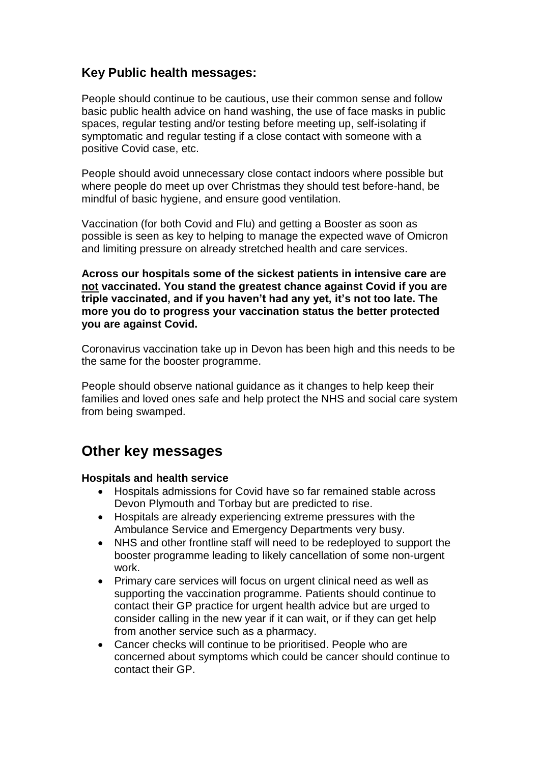### **Key Public health messages:**

People should continue to be cautious, use their common sense and follow basic public health advice on hand washing, the use of face masks in public spaces, regular testing and/or testing before meeting up, self-isolating if symptomatic and regular testing if a close contact with someone with a positive Covid case, etc.

People should avoid unnecessary close contact indoors where possible but where people do meet up over Christmas they should test before-hand, be mindful of basic hygiene, and ensure good ventilation.

Vaccination (for both Covid and Flu) and getting a Booster as soon as possible is seen as key to helping to manage the expected wave of Omicron and limiting pressure on already stretched health and care services.

**Across our hospitals some of the sickest patients in intensive care are not vaccinated. You stand the greatest chance against Covid if you are triple vaccinated, and if you haven't had any yet, it's not too late. The more you do to progress your vaccination status the better protected you are against Covid.**

Coronavirus vaccination take up in Devon has been high and this needs to be the same for the booster programme.

People should observe national guidance as it changes to help keep their families and loved ones safe and help protect the NHS and social care system from being swamped.

## **Other key messages**

#### **Hospitals and health service**

- Hospitals admissions for Covid have so far remained stable across Devon Plymouth and Torbay but are predicted to rise.
- Hospitals are already experiencing extreme pressures with the Ambulance Service and Emergency Departments very busy.
- NHS and other frontline staff will need to be redeployed to support the booster programme leading to likely cancellation of some non-urgent work.
- Primary care services will focus on urgent clinical need as well as supporting the vaccination programme. Patients should continue to contact their GP practice for urgent health advice but are urged to consider calling in the new year if it can wait, or if they can get help from another service such as a pharmacy.
- Cancer checks will continue to be prioritised. People who are concerned about symptoms which could be cancer should continue to contact their GP.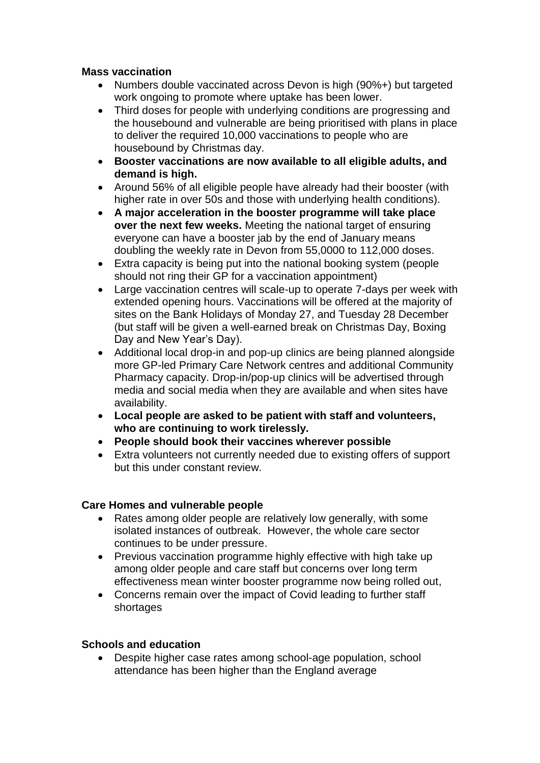#### **Mass vaccination**

- Numbers double vaccinated across Devon is high (90%+) but targeted work ongoing to promote where uptake has been lower.
- Third doses for people with underlying conditions are progressing and the housebound and vulnerable are being prioritised with plans in place to deliver the required 10,000 vaccinations to people who are housebound by Christmas day.
- **Booster vaccinations are now available to all eligible adults, and demand is high.**
- Around 56% of all eligible people have already had their booster (with higher rate in over 50s and those with underlying health conditions).
- **A major acceleration in the booster programme will take place over the next few weeks.** Meeting the national target of ensuring everyone can have a booster jab by the end of January means doubling the weekly rate in Devon from 55,0000 to 112,000 doses.
- Extra capacity is being put into the national booking system (people should not ring their GP for a vaccination appointment)
- Large vaccination centres will scale-up to operate 7-days per week with extended opening hours. Vaccinations will be offered at the majority of sites on the Bank Holidays of Monday 27, and Tuesday 28 December (but staff will be given a well-earned break on Christmas Day, Boxing Day and New Year's Day).
- Additional local drop-in and pop-up clinics are being planned alongside more GP-led Primary Care Network centres and additional Community Pharmacy capacity. Drop-in/pop-up clinics will be advertised through media and social media when they are available and when sites have availability.
- **Local people are asked to be patient with staff and volunteers, who are continuing to work tirelessly.**
- **People should book their vaccines wherever possible**
- Extra volunteers not currently needed due to existing offers of support but this under constant review.

#### **Care Homes and vulnerable people**

- Rates among older people are relatively low generally, with some isolated instances of outbreak. However, the whole care sector continues to be under pressure.
- Previous vaccination programme highly effective with high take up among older people and care staff but concerns over long term effectiveness mean winter booster programme now being rolled out,
- Concerns remain over the impact of Covid leading to further staff shortages

#### **Schools and education**

 Despite higher case rates among school-age population, school attendance has been higher than the England average